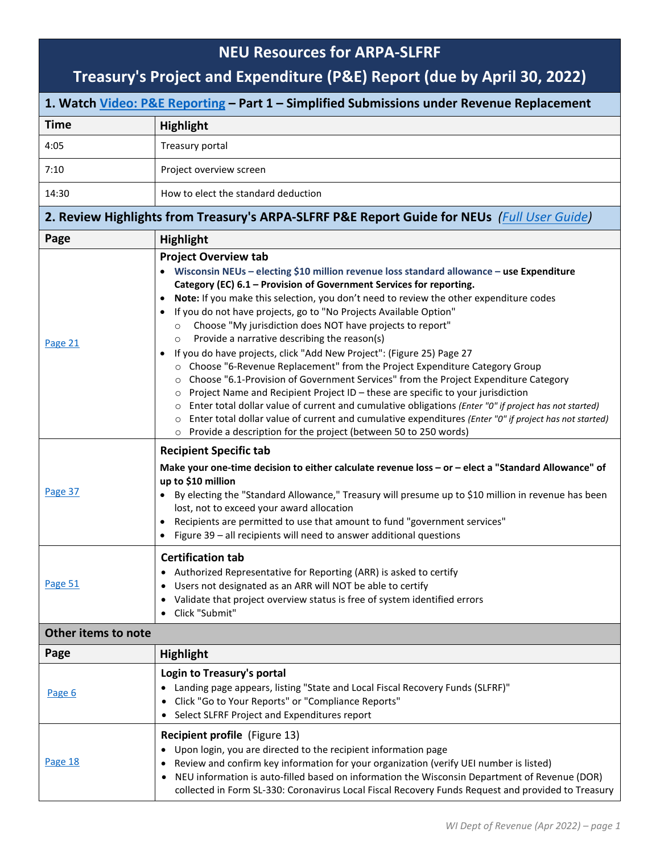## **NEU Resources for ARPA-SLFRF**

## **Treasury's Project and Expenditure (P&E) Report (due by April 30, 2022)**

| 1. Watch Video: P&E Reporting - Part 1 - Simplified Submissions under Revenue Replacement   |                                                                                                                                                                                                                                                                                                                                                                                                                                                                                                                                                                                                                                                                                                                                                                                                                                                                                                                                                                                                                                                                                                                                                             |  |
|---------------------------------------------------------------------------------------------|-------------------------------------------------------------------------------------------------------------------------------------------------------------------------------------------------------------------------------------------------------------------------------------------------------------------------------------------------------------------------------------------------------------------------------------------------------------------------------------------------------------------------------------------------------------------------------------------------------------------------------------------------------------------------------------------------------------------------------------------------------------------------------------------------------------------------------------------------------------------------------------------------------------------------------------------------------------------------------------------------------------------------------------------------------------------------------------------------------------------------------------------------------------|--|
| <b>Time</b>                                                                                 | <b>Highlight</b>                                                                                                                                                                                                                                                                                                                                                                                                                                                                                                                                                                                                                                                                                                                                                                                                                                                                                                                                                                                                                                                                                                                                            |  |
| 4:05                                                                                        | Treasury portal                                                                                                                                                                                                                                                                                                                                                                                                                                                                                                                                                                                                                                                                                                                                                                                                                                                                                                                                                                                                                                                                                                                                             |  |
| 7:10                                                                                        | Project overview screen                                                                                                                                                                                                                                                                                                                                                                                                                                                                                                                                                                                                                                                                                                                                                                                                                                                                                                                                                                                                                                                                                                                                     |  |
| 14:30                                                                                       | How to elect the standard deduction                                                                                                                                                                                                                                                                                                                                                                                                                                                                                                                                                                                                                                                                                                                                                                                                                                                                                                                                                                                                                                                                                                                         |  |
| 2. Review Highlights from Treasury's ARPA-SLFRF P&E Report Guide for NEUs (Full User Guide) |                                                                                                                                                                                                                                                                                                                                                                                                                                                                                                                                                                                                                                                                                                                                                                                                                                                                                                                                                                                                                                                                                                                                                             |  |
| Page                                                                                        | <b>Highlight</b>                                                                                                                                                                                                                                                                                                                                                                                                                                                                                                                                                                                                                                                                                                                                                                                                                                                                                                                                                                                                                                                                                                                                            |  |
| Page 21                                                                                     | <b>Project Overview tab</b><br>• Wisconsin NEUs - electing \$10 million revenue loss standard allowance - use Expenditure<br>Category (EC) 6.1 - Provision of Government Services for reporting.<br>Note: If you make this selection, you don't need to review the other expenditure codes<br>If you do not have projects, go to "No Projects Available Option"<br>Choose "My jurisdiction does NOT have projects to report"<br>$\circ$<br>Provide a narrative describing the reason(s)<br>$\circ$<br>If you do have projects, click "Add New Project": (Figure 25) Page 27<br>$\bullet$<br>o Choose "6-Revenue Replacement" from the Project Expenditure Category Group<br>○ Choose "6.1-Provision of Government Services" from the Project Expenditure Category<br>o Project Name and Recipient Project ID - these are specific to your jurisdiction<br>○ Enter total dollar value of current and cumulative obligations (Enter "0" if project has not started)<br>Enter total dollar value of current and cumulative expenditures (Enter "0" if project has not started)<br>$\circ$<br>○ Provide a description for the project (between 50 to 250 words) |  |
| Page 37                                                                                     | <b>Recipient Specific tab</b><br>Make your one-time decision to either calculate revenue loss - or - elect a "Standard Allowance" of<br>up to \$10 million<br>By electing the "Standard Allowance," Treasury will presume up to \$10 million in revenue has been<br>lost, not to exceed your award allocation<br>Recipients are permitted to use that amount to fund "government services"<br>$\bullet$<br>Figure 39 - all recipients will need to answer additional questions<br>$\bullet$                                                                                                                                                                                                                                                                                                                                                                                                                                                                                                                                                                                                                                                                 |  |
| Page 51                                                                                     | <b>Certification tab</b><br>• Authorized Representative for Reporting (ARR) is asked to certify<br>Users not designated as an ARR will NOT be able to certify<br>Validate that project overview status is free of system identified errors<br>Click "Submit"                                                                                                                                                                                                                                                                                                                                                                                                                                                                                                                                                                                                                                                                                                                                                                                                                                                                                                |  |
| Other items to note                                                                         |                                                                                                                                                                                                                                                                                                                                                                                                                                                                                                                                                                                                                                                                                                                                                                                                                                                                                                                                                                                                                                                                                                                                                             |  |
| Page                                                                                        | <b>Highlight</b>                                                                                                                                                                                                                                                                                                                                                                                                                                                                                                                                                                                                                                                                                                                                                                                                                                                                                                                                                                                                                                                                                                                                            |  |
| Page 6                                                                                      | Login to Treasury's portal<br>• Landing page appears, listing "State and Local Fiscal Recovery Funds (SLFRF)"<br>Click "Go to Your Reports" or "Compliance Reports"<br>• Select SLFRF Project and Expenditures report                                                                                                                                                                                                                                                                                                                                                                                                                                                                                                                                                                                                                                                                                                                                                                                                                                                                                                                                       |  |
| Page 18                                                                                     | Recipient profile (Figure 13)<br>Upon login, you are directed to the recipient information page<br>$\bullet$<br>Review and confirm key information for your organization (verify UEI number is listed)<br>NEU information is auto-filled based on information the Wisconsin Department of Revenue (DOR)<br>collected in Form SL-330: Coronavirus Local Fiscal Recovery Funds Request and provided to Treasury                                                                                                                                                                                                                                                                                                                                                                                                                                                                                                                                                                                                                                                                                                                                               |  |